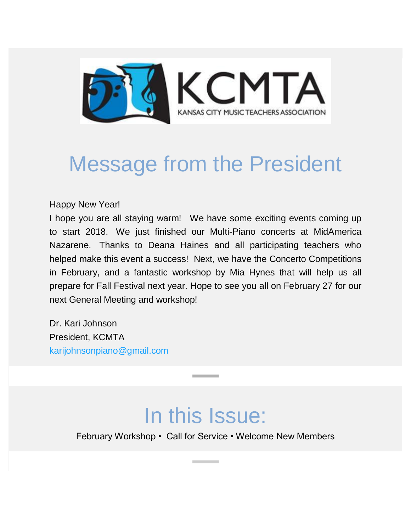

# Message from the President

Happy New Year!

I hope you are all staying warm! We have some exciting events coming up to start 2018. We just finished our Multi-Piano concerts at MidAmerica Nazarene. Thanks to Deana Haines and all participating teachers who helped make this event a success! Next, we have the Concerto Competitions in February, and a fantastic workshop by Mia Hynes that will help us all prepare for Fall Festival next year. Hope to see you all on February 27 for our next General Meeting and workshop!

Dr. Kari Johnson President, KCMTA [karijohnsonpiano@gmail.com](mailto:karijohnsonpiano@gmail.com)

### In this Issue:

February Workshop • Call for Service • Welcome New Members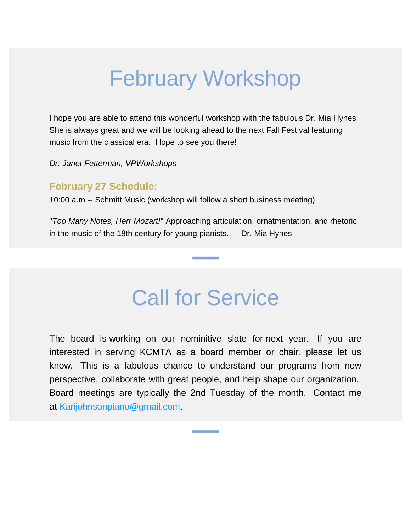## February Workshop

I hope you are able to attend this wonderful workshop with the fabulous Dr. Mia Hynes. She is always great and we will be looking ahead to the next Fall Festival featuring music from the classical era. Hope to see you there!

*Dr. Janet Fetterman, VPWorkshops*

#### **February 27 Schedule:**

10:00 a.m.-- Schmitt Music (workshop will follow a short business meeting)

"*Too Many Notes, Herr Mozart!*" Approaching articulation, ornatmentation, and rhetoric in the music of the 18th century for young pianists. -- Dr. Mia Hynes

### Call for Service

The board is working on our nominitive slate for next year. If you are interested in serving KCMTA as a board member or chair, please let us know. This is a fabulous chance to understand our programs from new perspective, collaborate with great people, and help shape our organization. Board meetings are typically the 2nd Tuesday of the month. Contact me at [Karijohnsonpiano@gmail.com.](mailto:Karijohnsonpiano@gmail.com)